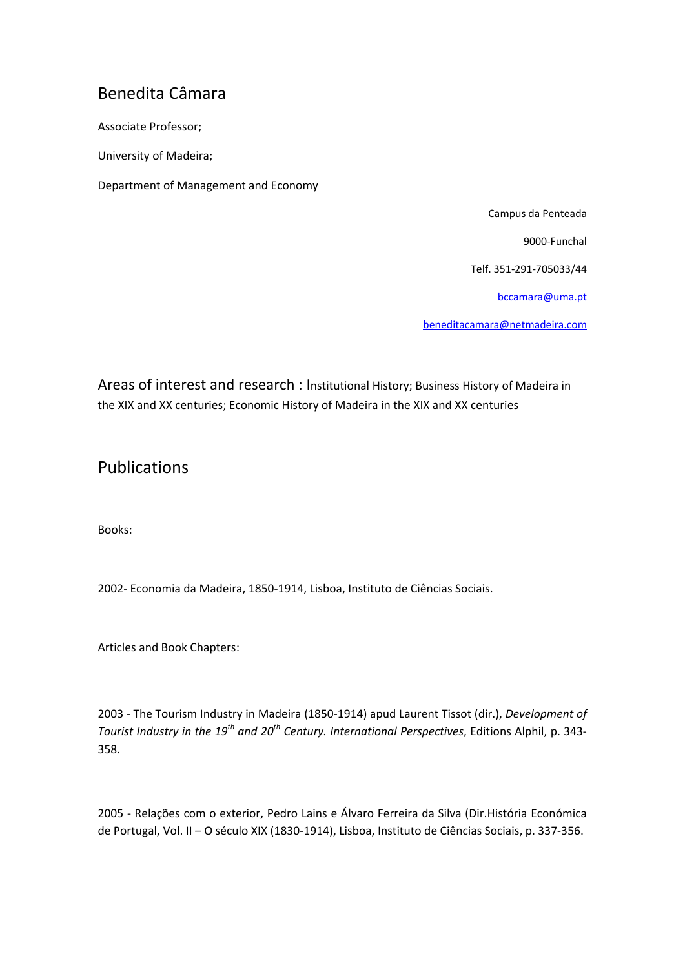## Benedita Câmara

Associate Professor;

University of Madeira;

Department of Management and Economy

Campus da Penteada

9000‐Funchal

Telf. 351‐291‐705033/44

bccamara@uma.pt

beneditacamara@netmadeira.com

Areas of interest and research : Institutional History; Business History of Madeira in the XIX and XX centuries; Economic History of Madeira in the XIX and XX centuries

## Publications

Books:

2002‐ Economia da Madeira, 1850‐1914, Lisboa, Instituto de Ciências Sociais.

Articles and Book Chapters:

2003 ‐ The Tourism Industry in Madeira (1850‐1914) apud Laurent Tissot (dir.), *Development of Tourist Industry in the 19th and 20th Century. International Perspectives*, Editions Alphil, p. 343‐ 358.

2005 ‐ Relações com o exterior, Pedro Lains e Álvaro Ferreira da Silva (Dir.História Económica de Portugal, Vol. II – O século XIX (1830‐1914), Lisboa, Instituto de Ciências Sociais, p. 337‐356.